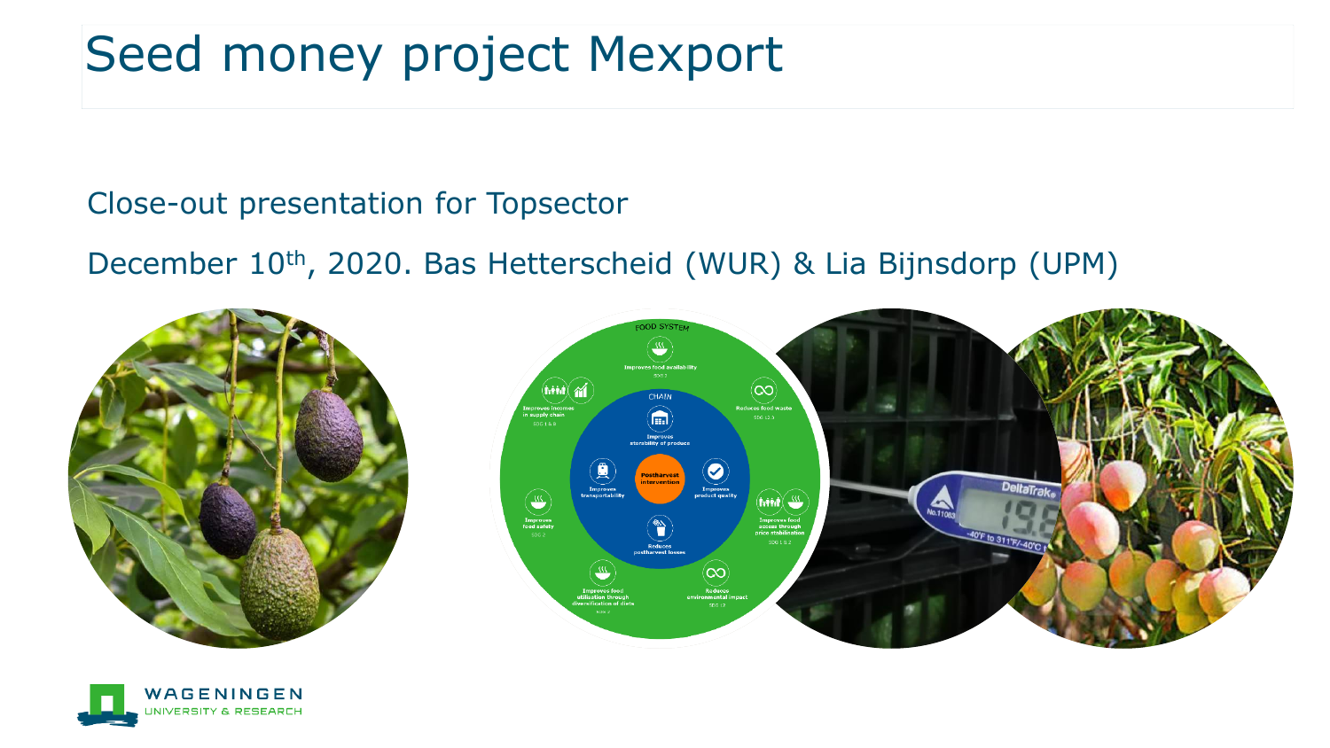## Seed money project Mexport

Close-out presentation for Topsector

December 10th, 2020. Bas Hetterscheid (WUR) & Lia Bijnsdorp (UPM)





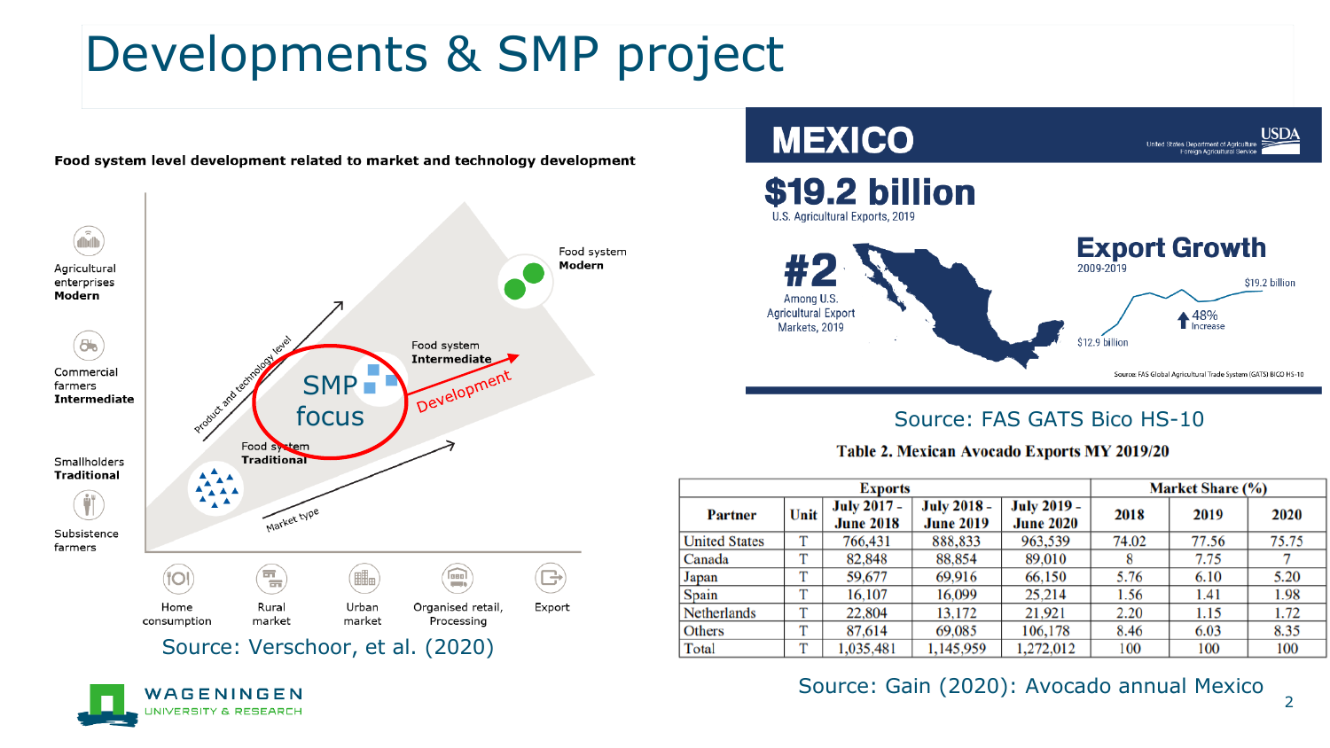## Developments & SMP project



Food system level development related to market and technology development



#### Source: FAS GATS Bico HS-10



|                      | <b>Exports</b> | <b>Market Share (%)</b>                |                                        |                                        |       |       |       |
|----------------------|----------------|----------------------------------------|----------------------------------------|----------------------------------------|-------|-------|-------|
| <b>Partner</b>       | Unit           | <b>July 2017 -</b><br><b>June 2018</b> | <b>July 2018 -</b><br><b>June 2019</b> | <b>July 2019 -</b><br><b>June 2020</b> | 2018  | 2019  | 2020  |
| <b>United States</b> | т              | 766,431                                | 888,833                                | 963,539                                | 74.02 | 77.56 | 75.75 |
| Canada               | т              | 82,848                                 | 88,854                                 | 89,010                                 |       | 7.75  |       |
| Japan                | т              | 59,677                                 | 69.916                                 | 66,150                                 | 5.76  | 6.10  | 5.20  |
| Spain                | T              | 16,107                                 | 16.099                                 | 25.214                                 | 1.56  | 1.41  | 1.98  |
| <b>Netherlands</b>   | т              | 22,804                                 | 13,172                                 | 21,921                                 | 2.20  | 1.15  | 1.72  |
| <b>Others</b>        | т              | 87.614                                 | 69,085                                 | 106,178                                | 8.46  | 6.03  | 8.35  |
| Total                | т              | 1,035,481                              | 1,145,959                              | 1,272,012                              | 100   | 100   | 100   |

#### Source: Gain (2020): Avocado annual Mexico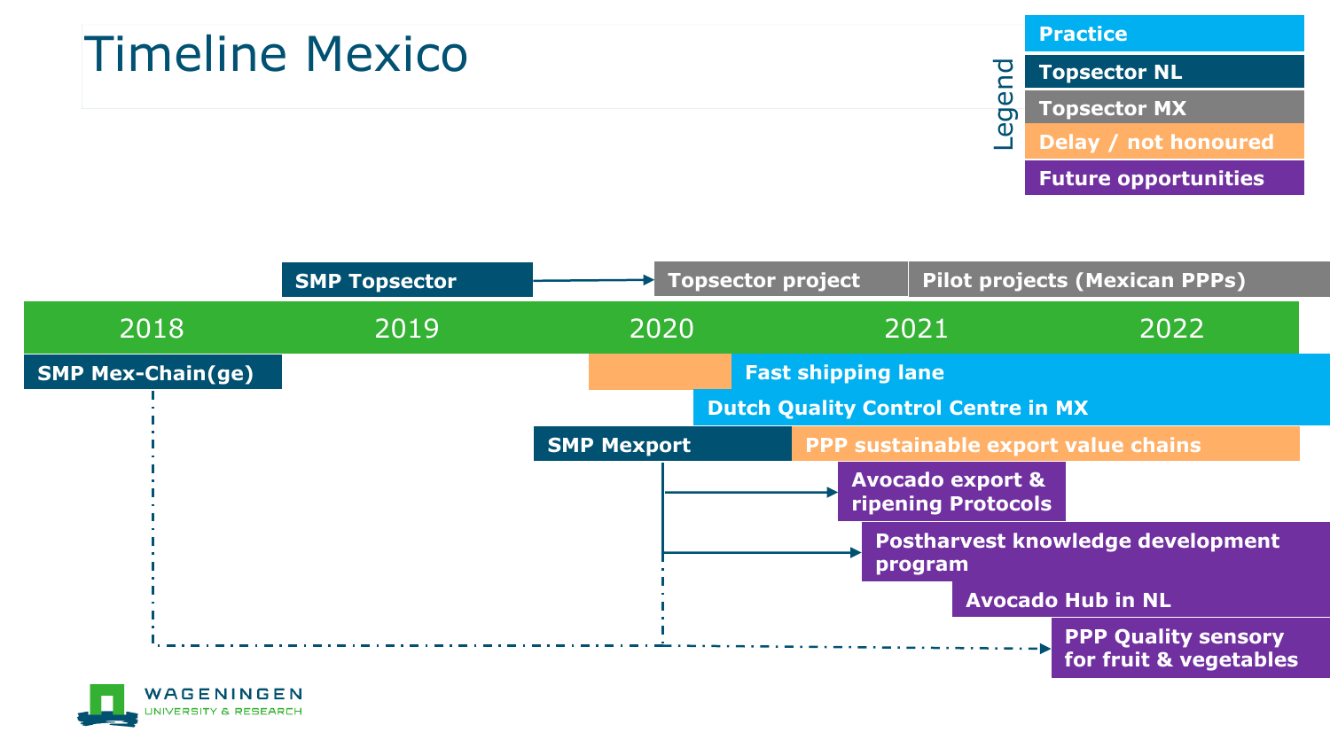### Timeline Mexico

#### **Practice**

**Topsector NL Topsector MX Delay / not honoured Future opportunities** Legend



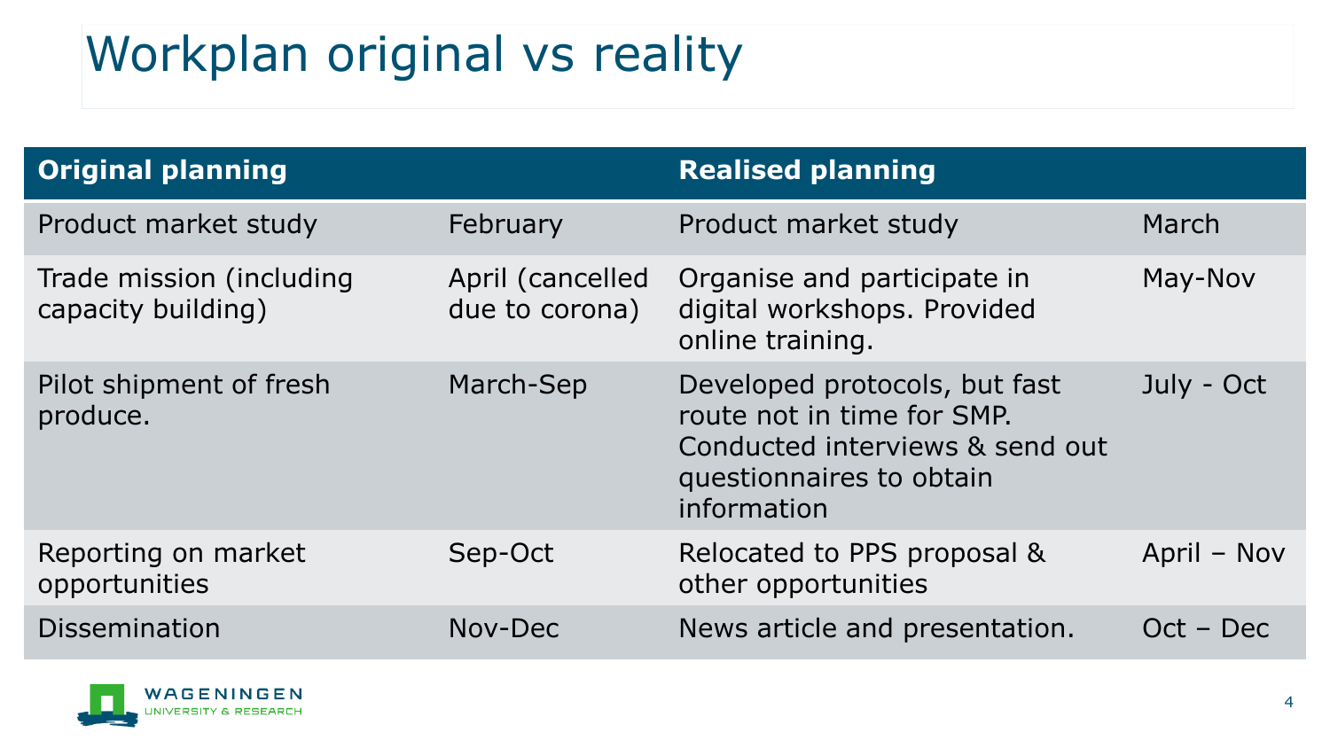# Workplan original vs reality

| <b>Original planning</b>                       |                                    | <b>Realised planning</b>                                                                                                                  |             |
|------------------------------------------------|------------------------------------|-------------------------------------------------------------------------------------------------------------------------------------------|-------------|
| Product market study                           | February                           | Product market study                                                                                                                      | March       |
| Trade mission (including<br>capacity building) | April (cancelled<br>due to corona) | Organise and participate in<br>digital workshops. Provided<br>online training.                                                            | May-Nov     |
| Pilot shipment of fresh<br>produce.            | March-Sep                          | Developed protocols, but fast<br>route not in time for SMP.<br>Conducted interviews & send out<br>questionnaires to obtain<br>information | July - Oct  |
| Reporting on market<br>opportunities           | Sep-Oct                            | Relocated to PPS proposal &<br>other opportunities                                                                                        | April - Nov |
| Dissemination                                  | Nov-Dec                            | News article and presentation.                                                                                                            | $Oct - Dec$ |

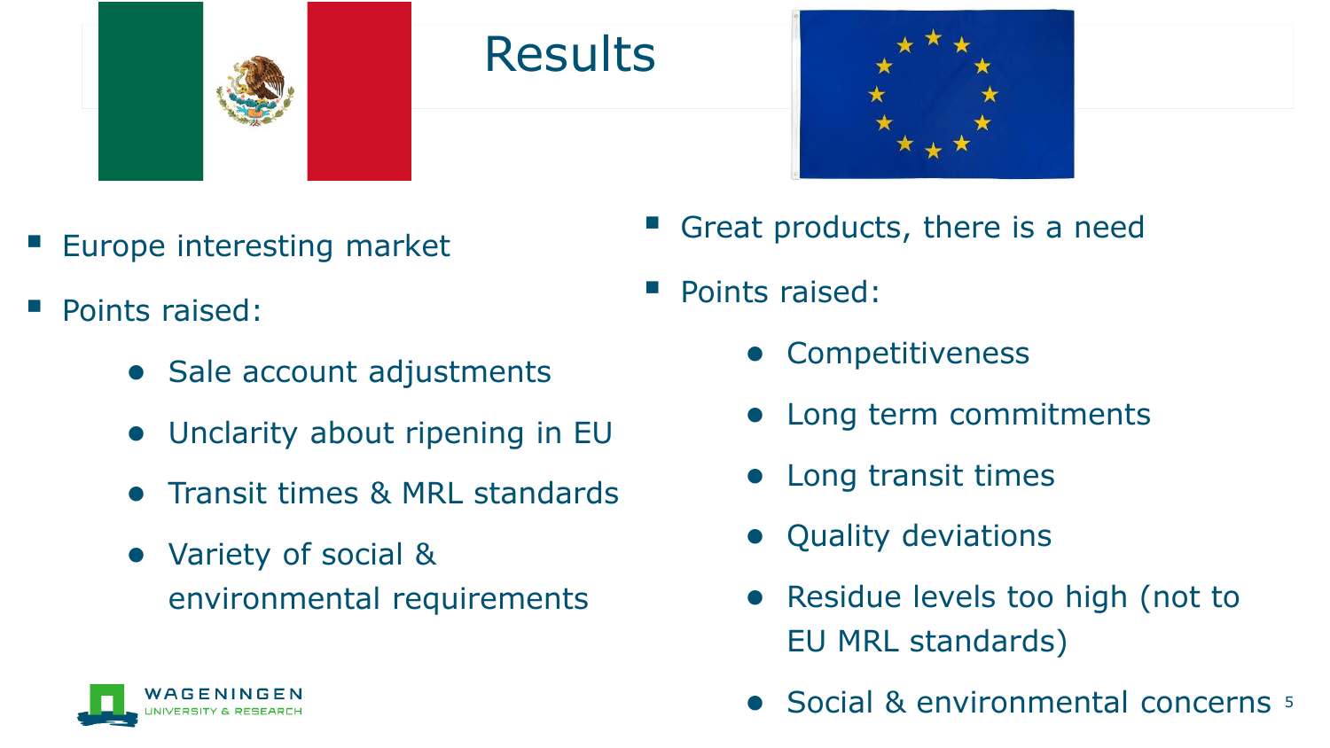

#### **Results**



- Europe interesting market
- Points raised:
	- Sale account adjustments
	- Unclarity about ripening in EU
	- Transit times & MRL standards
	- Variety of social & environmental requirements
- Great products, there is a need
- Points raised:
	- **Competitiveness**
	- Long term commitments
	- Long transit times
	- Quality deviations
	- Residue levels too high (not to EU MRL standards)
	- Social & environmental concerns 5

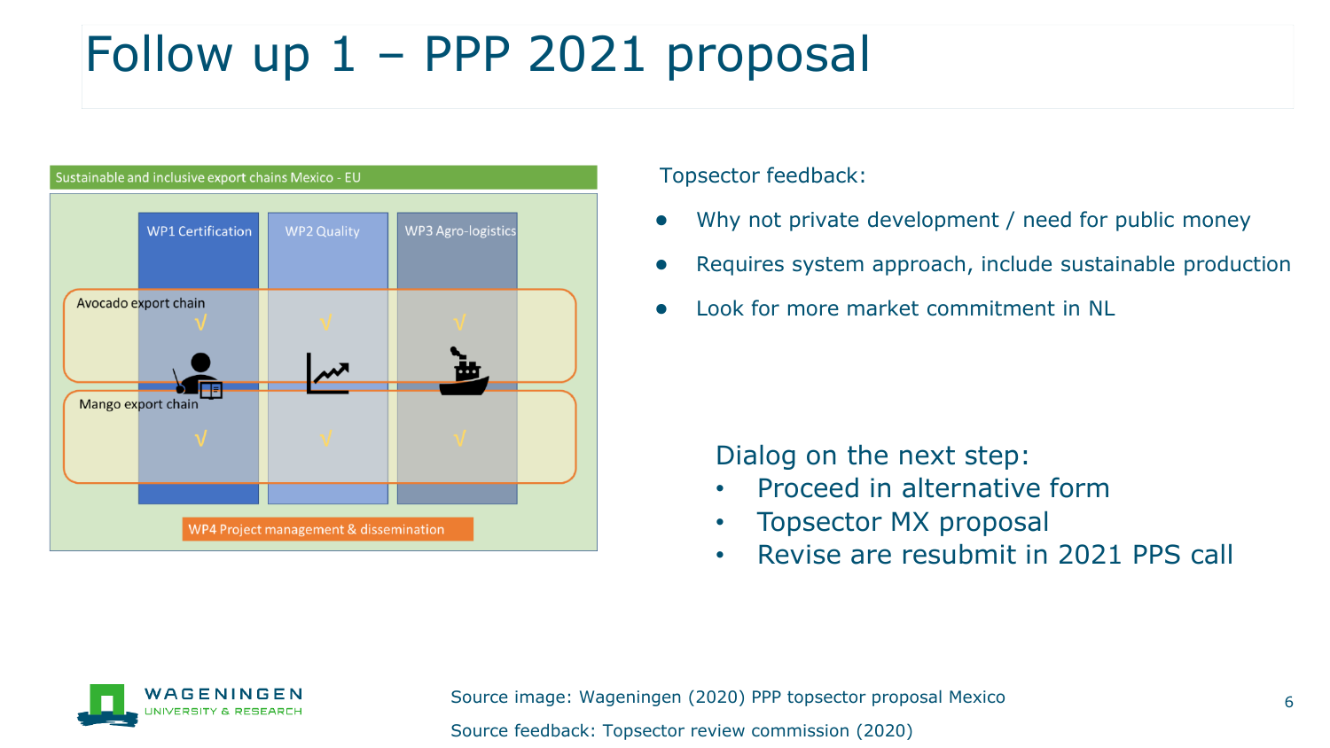## Follow up 1 – PPP 2021 proposal

| Sustainable and inclusive export chains Mexico - EU |                    |                           |  |  |  |  |
|-----------------------------------------------------|--------------------|---------------------------|--|--|--|--|
| <b>WP1 Certification</b>                            | <b>WP2 Quality</b> | <b>WP3 Agro-logistics</b> |  |  |  |  |
| Avocado export chain                                |                    | .                         |  |  |  |  |
| Mango export chain                                  |                    |                           |  |  |  |  |
| WP4 Project management & dissemination              |                    |                           |  |  |  |  |

Topsector feedback:

- Why not private development / need for public money
- Requires system approach, include sustainable production
- Look for more market commitment in NL

Dialog on the next step:

- Proceed in alternative form
- Topsector MX proposal
- Revise are resubmit in 2021 PPS call

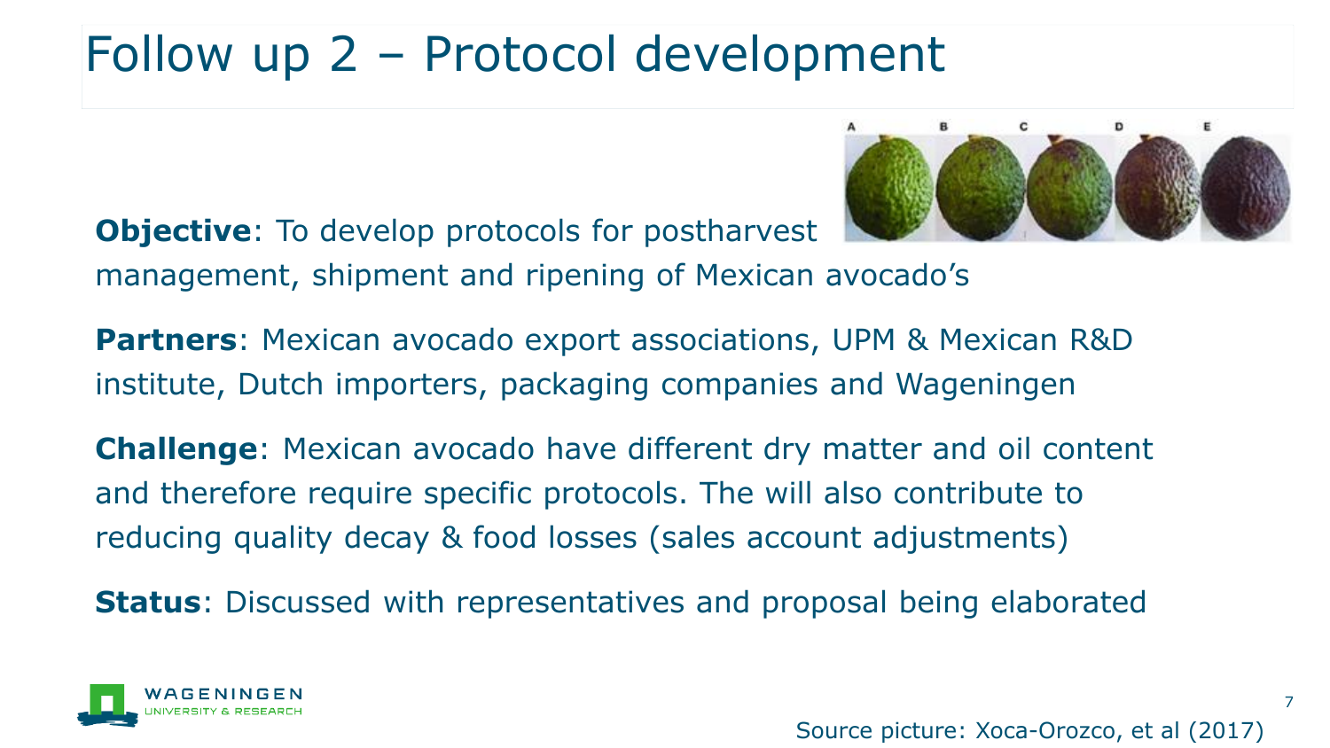## Follow up 2 – Protocol development

**Objective**: To develop protocols for postharvest



management, shipment and ripening of Mexican avocado's

**Partners**: Mexican avocado export associations, UPM & Mexican R&D institute, Dutch importers, packaging companies and Wageningen

**Challenge**: Mexican avocado have different dry matter and oil content and therefore require specific protocols. The will also contribute to reducing quality decay & food losses (sales account adjustments)

**Status**: Discussed with representatives and proposal being elaborated



7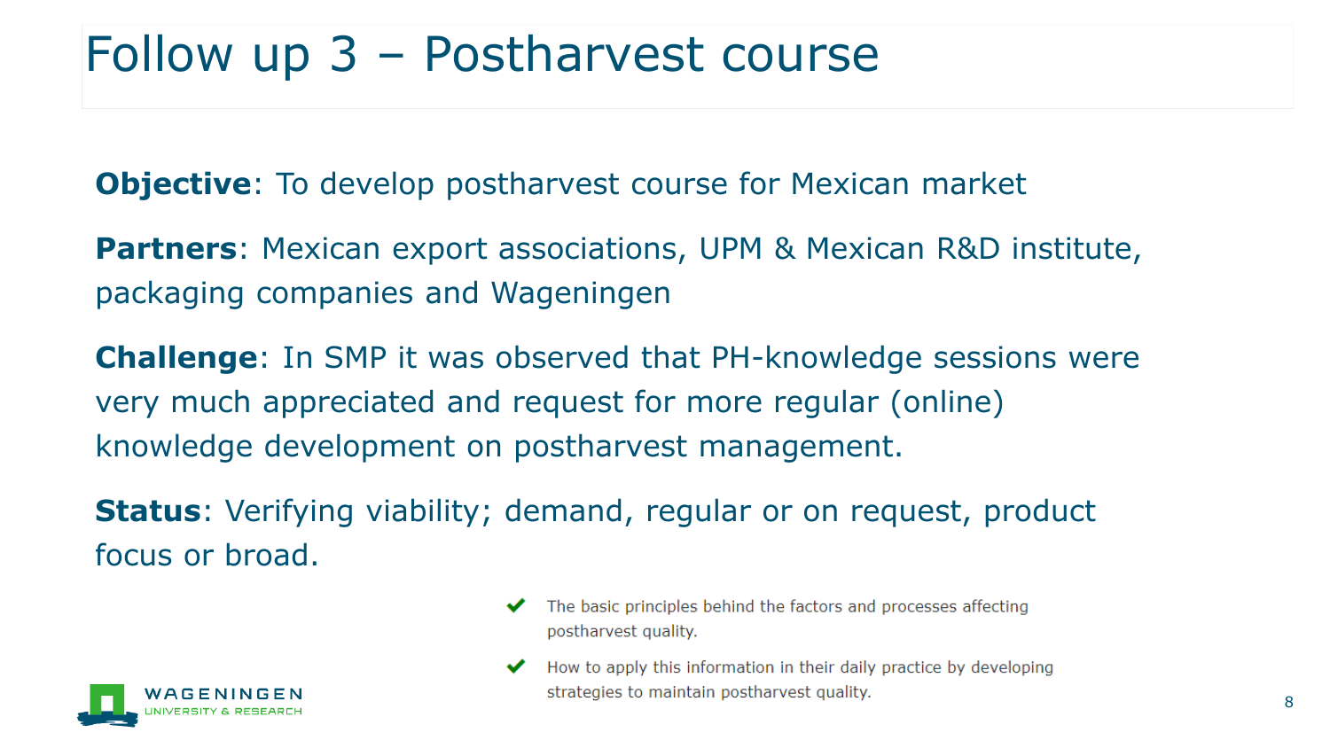### Follow up 3 – Postharvest course

**Objective**: To develop postharvest course for Mexican market

**Partners:** Mexican export associations, UPM & Mexican R&D institute, packaging companies and Wageningen

**Challenge**: In SMP it was observed that PH-knowledge sessions were very much appreciated and request for more regular (online) knowledge development on postharvest management.

**Status**: Verifying viability; demand, regular or on request, product focus or broad.



- The basic principles behind the factors and processes affecting ✔ postharvest quality.
- How to apply this information in their daily practice by developing ✔ strategies to maintain postharvest quality.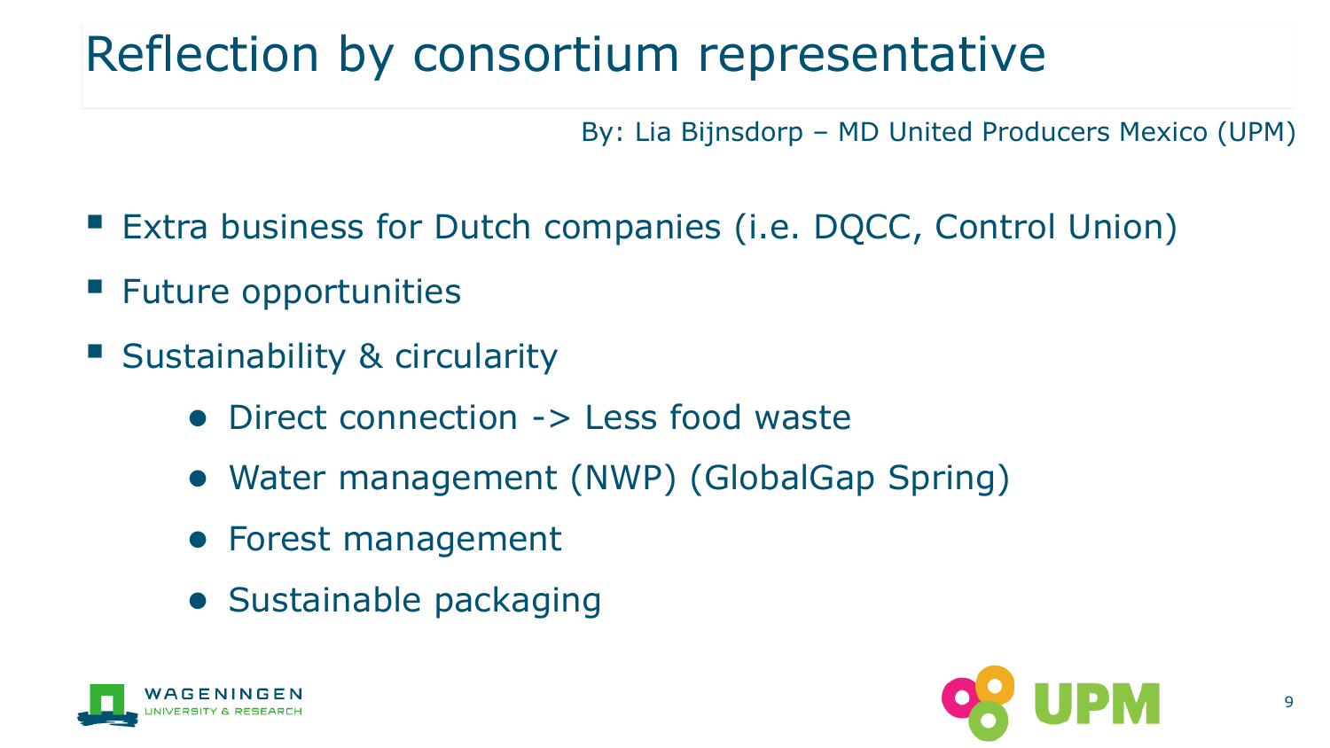## Reflection by consortium representative

By: Lia Bijnsdorp – MD United Producers Mexico (UPM)

- Extra business for Dutch companies (i.e. DQCC, Control Union)
- Future opportunities
- Sustainability & circularity
	- Direct connection -> Less food waste
	- Water management (NWP) (GlobalGap Spring)
	- Forest management
	- Sustainable packaging